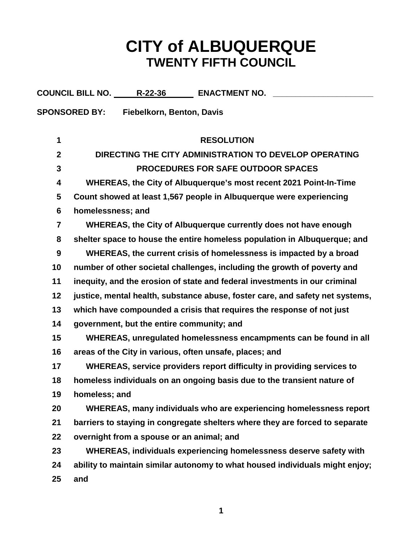## **CITY of ALBUQUERQUE TWENTY FIFTH COUNCIL**

|                                         | COUNCIL BILL NO. _____R-22-36_______ ENACTMENT NO. ___                        |  |
|-----------------------------------------|-------------------------------------------------------------------------------|--|
| SPONSORED BY: Fiebelkorn, Benton, Davis |                                                                               |  |
|                                         |                                                                               |  |
| 1                                       | <b>RESOLUTION</b>                                                             |  |
| $\boldsymbol{2}$                        | DIRECTING THE CITY ADMINISTRATION TO DEVELOP OPERATING                        |  |
| 3                                       | <b>PROCEDURES FOR SAFE OUTDOOR SPACES</b>                                     |  |
| 4                                       | WHEREAS, the City of Albuquerque's most recent 2021 Point-In-Time             |  |
| 5                                       | Count showed at least 1,567 people in Albuquerque were experiencing           |  |
| 6                                       | homelessness; and                                                             |  |
| $\overline{7}$                          | WHEREAS, the City of Albuquerque currently does not have enough               |  |
| 8                                       | shelter space to house the entire homeless population in Albuquerque; and     |  |
| 9                                       | WHEREAS, the current crisis of homelessness is impacted by a broad            |  |
| 10                                      | number of other societal challenges, including the growth of poverty and      |  |
| 11                                      | inequity, and the erosion of state and federal investments in our criminal    |  |
| 12                                      | justice, mental health, substance abuse, foster care, and safety net systems, |  |
| 13                                      | which have compounded a crisis that requires the response of not just         |  |
| 14                                      | government, but the entire community; and                                     |  |
| 15                                      | WHEREAS, unregulated homelessness encampments can be found in all             |  |
| 16                                      | areas of the City in various, often unsafe, places; and                       |  |
| 17                                      | WHEREAS, service providers report difficulty in providing services to         |  |
| 18                                      | homeless individuals on an ongoing basis due to the transient nature of       |  |
| 19                                      | homeless; and                                                                 |  |
| 20                                      | WHEREAS, many individuals who are experiencing homelessness report            |  |
| 21                                      | barriers to staying in congregate shelters where they are forced to separate  |  |
| 22                                      | overnight from a spouse or an animal; and                                     |  |
| 23                                      | WHEREAS, individuals experiencing homelessness deserve safety with            |  |
| 24                                      | ability to maintain similar autonomy to what housed individuals might enjoy;  |  |
| 25                                      | and                                                                           |  |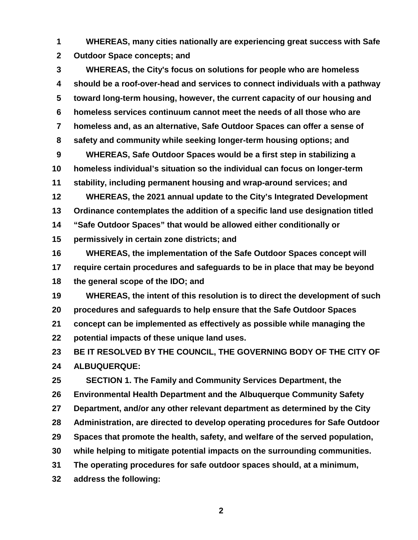**WHEREAS, many cities nationally are experiencing great success with Safe Outdoor Space concepts; and**

 **WHEREAS, the City's focus on solutions for people who are homeless should be a roof-over-head and services to connect individuals with a pathway toward long-term housing, however, the current capacity of our housing and homeless services continuum cannot meet the needs of all those who are homeless and, as an alternative, Safe Outdoor Spaces can offer a sense of safety and community while seeking longer-term housing options; and**

 **WHEREAS, Safe Outdoor Spaces would be a first step in stabilizing a homeless individual's situation so the individual can focus on longer-term stability, including permanent housing and wrap-around services; and**

 **WHEREAS, the 2021 annual update to the City's Integrated Development Ordinance contemplates the addition of a specific land use designation titled "Safe Outdoor Spaces" that would be allowed either conditionally or** 

**permissively in certain zone districts; and**

 **WHEREAS, the implementation of the Safe Outdoor Spaces concept will require certain procedures and safeguards to be in place that may be beyond the general scope of the IDO; and**

 **WHEREAS, the intent of this resolution is to direct the development of such procedures and safeguards to help ensure that the Safe Outdoor Spaces concept can be implemented as effectively as possible while managing the** 

**potential impacts of these unique land uses.**

 **BE IT RESOLVED BY THE COUNCIL, THE GOVERNING BODY OF THE CITY OF ALBUQUERQUE:**

 **SECTION 1. The Family and Community Services Department, the Environmental Health Department and the Albuquerque Community Safety Department, and/or any other relevant department as determined by the City Administration, are directed to develop operating procedures for Safe Outdoor Spaces that promote the health, safety, and welfare of the served population, while helping to mitigate potential impacts on the surrounding communities. The operating procedures for safe outdoor spaces should, at a minimum, address the following:**